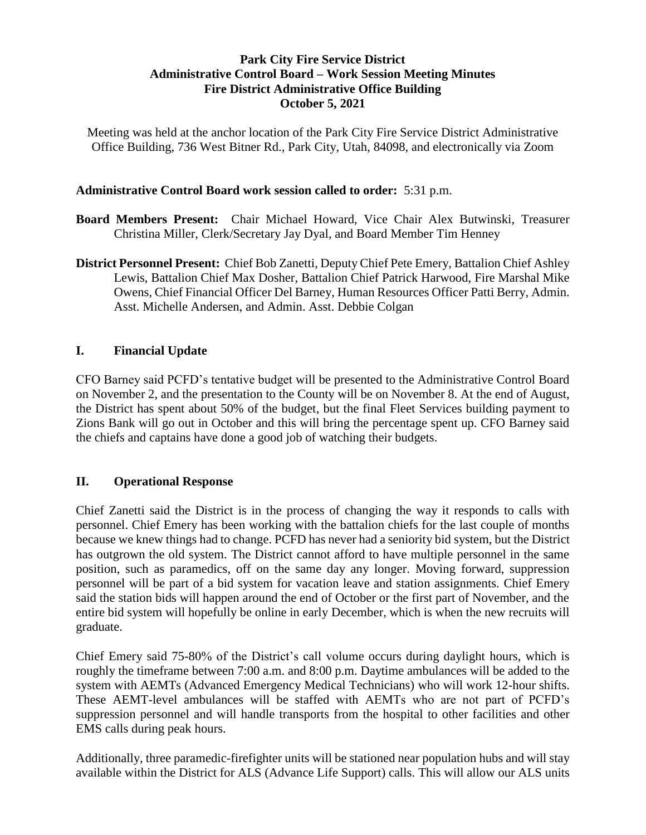## **Park City Fire Service District Administrative Control Board – Work Session Meeting Minutes Fire District Administrative Office Building October 5, 2021**

Meeting was held at the anchor location of the Park City Fire Service District Administrative Office Building, 736 West Bitner Rd., Park City, Utah, 84098, and electronically via Zoom

#### **Administrative Control Board work session called to order:** 5:31 p.m.

- **Board Members Present:** Chair Michael Howard, Vice Chair Alex Butwinski, Treasurer Christina Miller, Clerk/Secretary Jay Dyal, and Board Member Tim Henney
- **District Personnel Present:** Chief Bob Zanetti, Deputy Chief Pete Emery, Battalion Chief Ashley Lewis, Battalion Chief Max Dosher, Battalion Chief Patrick Harwood, Fire Marshal Mike Owens, Chief Financial Officer Del Barney, Human Resources Officer Patti Berry, Admin. Asst. Michelle Andersen, and Admin. Asst. Debbie Colgan

## **I. Financial Update**

CFO Barney said PCFD's tentative budget will be presented to the Administrative Control Board on November 2, and the presentation to the County will be on November 8. At the end of August, the District has spent about 50% of the budget, but the final Fleet Services building payment to Zions Bank will go out in October and this will bring the percentage spent up. CFO Barney said the chiefs and captains have done a good job of watching their budgets.

## **II. Operational Response**

Chief Zanetti said the District is in the process of changing the way it responds to calls with personnel. Chief Emery has been working with the battalion chiefs for the last couple of months because we knew things had to change. PCFD has never had a seniority bid system, but the District has outgrown the old system. The District cannot afford to have multiple personnel in the same position, such as paramedics, off on the same day any longer. Moving forward, suppression personnel will be part of a bid system for vacation leave and station assignments. Chief Emery said the station bids will happen around the end of October or the first part of November, and the entire bid system will hopefully be online in early December, which is when the new recruits will graduate.

Chief Emery said 75-80% of the District's call volume occurs during daylight hours, which is roughly the timeframe between 7:00 a.m. and 8:00 p.m. Daytime ambulances will be added to the system with AEMTs (Advanced Emergency Medical Technicians) who will work 12-hour shifts. These AEMT-level ambulances will be staffed with AEMTs who are not part of PCFD's suppression personnel and will handle transports from the hospital to other facilities and other EMS calls during peak hours.

Additionally, three paramedic-firefighter units will be stationed near population hubs and will stay available within the District for ALS (Advance Life Support) calls. This will allow our ALS units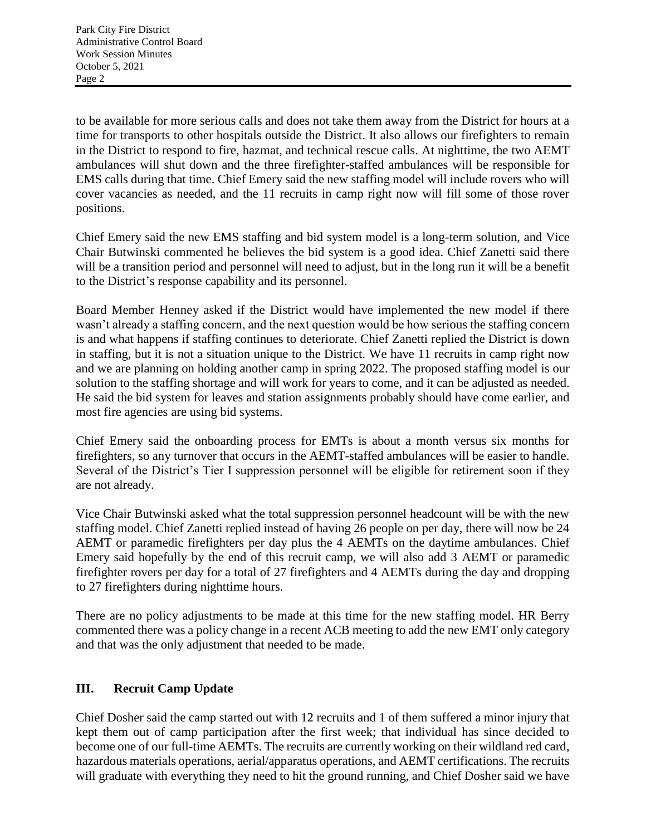to be available for more serious calls and does not take them away from the District for hours at a time for transports to other hospitals outside the District. It also allows our firefighters to remain in the District to respond to fire, hazmat, and technical rescue calls. At nighttime, the two AEMT ambulances will shut down and the three firefighter-staffed ambulances will be responsible for EMS calls during that time. Chief Emery said the new staffing model will include rovers who will cover vacancies as needed, and the 11 recruits in camp right now will fill some of those rover positions.

Chief Emery said the new EMS staffing and bid system model is a long-term solution, and Vice Chair Butwinski commented he believes the bid system is a good idea. Chief Zanetti said there will be a transition period and personnel will need to adjust, but in the long run it will be a benefit to the District's response capability and its personnel.

Board Member Henney asked if the District would have implemented the new model if there wasn't already a staffing concern, and the next question would be how serious the staffing concern is and what happens if staffing continues to deteriorate. Chief Zanetti replied the District is down in staffing, but it is not a situation unique to the District. We have 11 recruits in camp right now and we are planning on holding another camp in spring 2022. The proposed staffing model is our solution to the staffing shortage and will work for years to come, and it can be adjusted as needed. He said the bid system for leaves and station assignments probably should have come earlier, and most fire agencies are using bid systems.

Chief Emery said the onboarding process for EMTs is about a month versus six months for firefighters, so any turnover that occurs in the AEMT-staffed ambulances will be easier to handle. Several of the District's Tier I suppression personnel will be eligible for retirement soon if they are not already.

Vice Chair Butwinski asked what the total suppression personnel headcount will be with the new staffing model. Chief Zanetti replied instead of having 26 people on per day, there will now be 24 AEMT or paramedic firefighters per day plus the 4 AEMTs on the daytime ambulances. Chief Emery said hopefully by the end of this recruit camp, we will also add 3 AEMT or paramedic firefighter rovers per day for a total of 27 firefighters and 4 AEMTs during the day and dropping to 27 firefighters during nighttime hours.

There are no policy adjustments to be made at this time for the new staffing model. HR Berry commented there was a policy change in a recent ACB meeting to add the new EMT only category and that was the only adjustment that needed to be made.

## **III. Recruit Camp Update**

Chief Dosher said the camp started out with 12 recruits and 1 of them suffered a minor injury that kept them out of camp participation after the first week; that individual has since decided to become one of our full-time AEMTs. The recruits are currently working on their wildland red card, hazardous materials operations, aerial/apparatus operations, and AEMT certifications. The recruits will graduate with everything they need to hit the ground running, and Chief Dosher said we have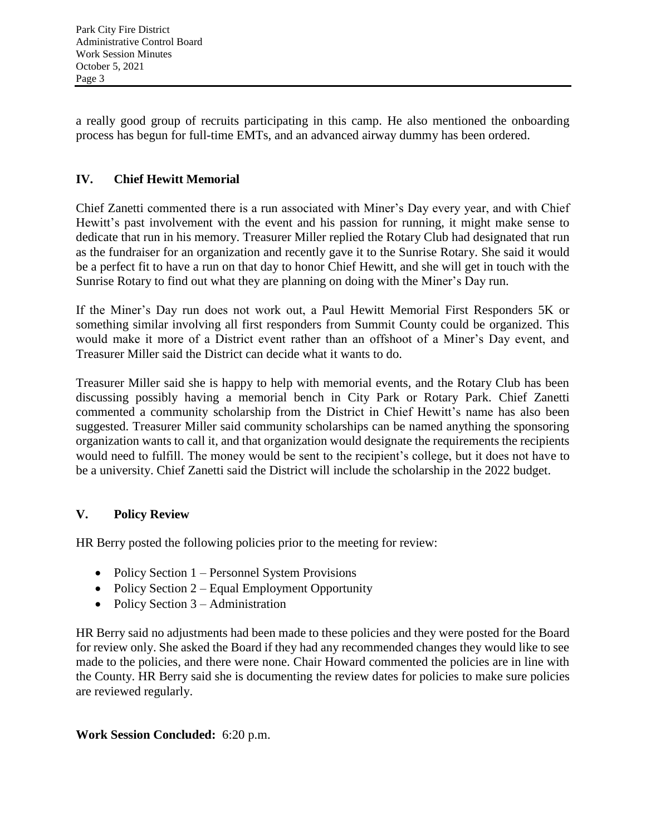a really good group of recruits participating in this camp. He also mentioned the onboarding process has begun for full-time EMTs, and an advanced airway dummy has been ordered.

# **IV. Chief Hewitt Memorial**

Chief Zanetti commented there is a run associated with Miner's Day every year, and with Chief Hewitt's past involvement with the event and his passion for running, it might make sense to dedicate that run in his memory. Treasurer Miller replied the Rotary Club had designated that run as the fundraiser for an organization and recently gave it to the Sunrise Rotary. She said it would be a perfect fit to have a run on that day to honor Chief Hewitt, and she will get in touch with the Sunrise Rotary to find out what they are planning on doing with the Miner's Day run.

If the Miner's Day run does not work out, a Paul Hewitt Memorial First Responders 5K or something similar involving all first responders from Summit County could be organized. This would make it more of a District event rather than an offshoot of a Miner's Day event, and Treasurer Miller said the District can decide what it wants to do.

Treasurer Miller said she is happy to help with memorial events, and the Rotary Club has been discussing possibly having a memorial bench in City Park or Rotary Park. Chief Zanetti commented a community scholarship from the District in Chief Hewitt's name has also been suggested. Treasurer Miller said community scholarships can be named anything the sponsoring organization wants to call it, and that organization would designate the requirements the recipients would need to fulfill. The money would be sent to the recipient's college, but it does not have to be a university. Chief Zanetti said the District will include the scholarship in the 2022 budget.

# **V. Policy Review**

HR Berry posted the following policies prior to the meeting for review:

- Policy Section 1 Personnel System Provisions
- Policy Section  $2 -$  Equal Employment Opportunity
- Policy Section  $3 -$  Administration

HR Berry said no adjustments had been made to these policies and they were posted for the Board for review only. She asked the Board if they had any recommended changes they would like to see made to the policies, and there were none. Chair Howard commented the policies are in line with the County. HR Berry said she is documenting the review dates for policies to make sure policies are reviewed regularly.

## **Work Session Concluded:** 6:20 p.m.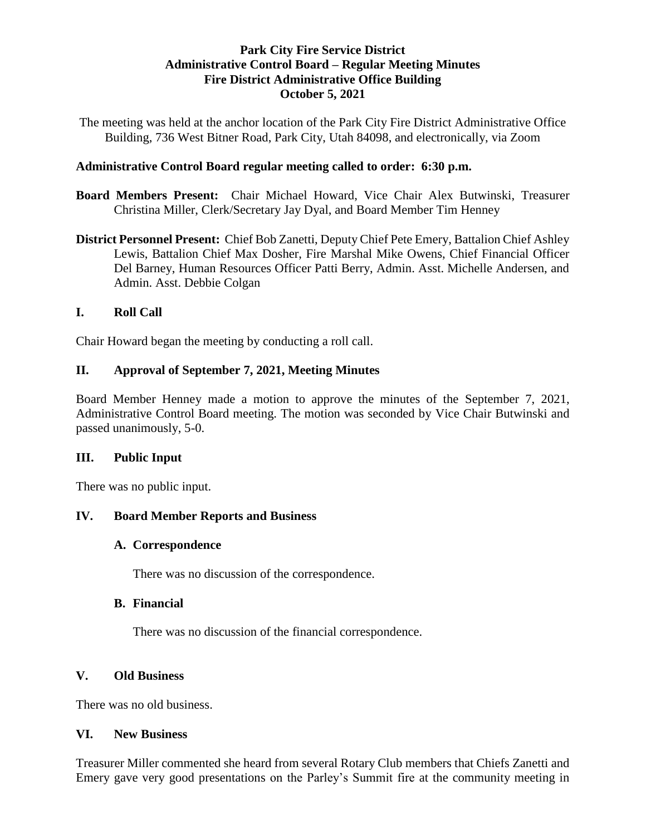### **Park City Fire Service District Administrative Control Board – Regular Meeting Minutes Fire District Administrative Office Building October 5, 2021**

The meeting was held at the anchor location of the Park City Fire District Administrative Office Building, 736 West Bitner Road, Park City, Utah 84098, and electronically, via Zoom

### **Administrative Control Board regular meeting called to order: 6:30 p.m.**

- **Board Members Present:** Chair Michael Howard, Vice Chair Alex Butwinski, Treasurer Christina Miller, Clerk/Secretary Jay Dyal, and Board Member Tim Henney
- **District Personnel Present:** Chief Bob Zanetti, Deputy Chief Pete Emery, Battalion Chief Ashley Lewis, Battalion Chief Max Dosher, Fire Marshal Mike Owens, Chief Financial Officer Del Barney, Human Resources Officer Patti Berry, Admin. Asst. Michelle Andersen, and Admin. Asst. Debbie Colgan

### **I. Roll Call**

Chair Howard began the meeting by conducting a roll call.

## **II. Approval of September 7, 2021, Meeting Minutes**

Board Member Henney made a motion to approve the minutes of the September 7, 2021, Administrative Control Board meeting. The motion was seconded by Vice Chair Butwinski and passed unanimously, 5-0.

#### **III. Public Input**

There was no public input.

## **IV. Board Member Reports and Business**

#### **A. Correspondence**

There was no discussion of the correspondence.

## **B. Financial**

There was no discussion of the financial correspondence.

## **V. Old Business**

There was no old business.

## **VI. New Business**

Treasurer Miller commented she heard from several Rotary Club members that Chiefs Zanetti and Emery gave very good presentations on the Parley's Summit fire at the community meeting in